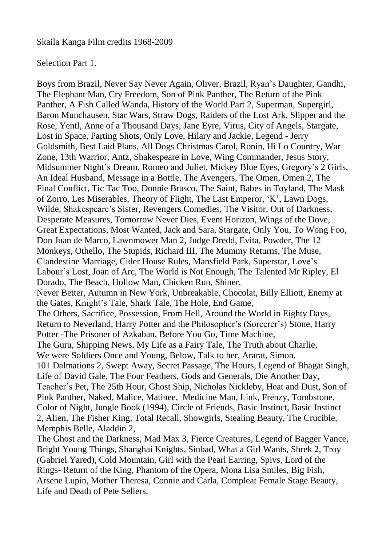Skaila Kanga Film credits 1968-2009

## Selection Part 1.

Boys from Brazil, Never Say Never Again, Oliver, Brazil, Ryan's Daughter, Gandhi, The Elephant Man, Cry Freedom, Son of Pink Panther, The Return of the Pink Panther, A Fish Called Wanda, History of the World Part 2, Superman, Supergirl, Baron Munchausen, Star Wars, Straw Dogs, Raiders of the Lost Ark, Slipper and the Rose, Yentl, Anne of a Thousand Days, Jane Eyre, Virus, City of Angels, Stargate, Lost in Space, Parting Shots, Only Love, Hilary and Jackie, Legend - Jerry Goldsmith, Best Laid Plans, All Dogs Christmas Carol, Ronin, Hi Lo Country, War Zone, 13th Warrior, Antz, Shakespeare in Love, Wing Commander, Jesus Story, Midsummer Night's Dream, Romeo and Juliet, Mickey Blue Eyes, Gregory's 2 Girls, An Ideal Husband, Message in a Bottle, The Avengers, The Omen, Omen 2, The Final Conflict, Tic Tac Too, Donnie Brasco, The Saint, Babes in Toyland, The Mask of Zorro, Les Miserables, Theory of Flight, The Last Emperor, 'K', Lawn Dogs, Wilde, Shakespeare's Sister, Revengers Comedies, The Visitor, Out of Darkness, Desperate Measures, Tomorrow Never Dies, Event Horizon, Wings of the Dove, Great Expectations, Most Wanted, Jack and Sara, Stargate, Only You, To Wong Foo, Don Juan de Marco, Lawnmower Man 2, Judge Dredd, Evita, Powder, The 12 Monkeys, Othello, The Stupids, Richard III, The Mummy Returns, The Muse, Clandestine Marriage, Cider House Rules, Mansfield Park, Superstar, Love's Labour's Lost, Joan of Arc, The World is Not Enough, The Talented Mr Ripley, El Dorado, The Beach, Hollow Man, Chicken Run, Shiner, Never Better, Autumn in New York, Unbreakable, Chocolat, Billy Elliott, Enemy at the Gates, Knight's Tale, Shark Tale, The Hole, End Game, The Others, Sacrifice, Possession, From Hell, Around the World in Eighty Days, Return to Neverland, Harry Potter and the Philosopher's (Sorcerer's) Stone, Harry Potter -The Prisoner of Azkaban, Before You Go, Time Machine, The Guru, Shipping News, My Life as a Fairy Tale, The Truth about Charlie, We were Soldiers Once and Young, Below, Talk to her, Ararat, Simon, 101 Dalmations 2, Swept Away, Secret Passage, The Hours, Legend of Bhagat Singh, Life of David Gale, The Four Feathers, Gods and Generals, Die Another Day, Teacher's Pet, The 25th Hour, Ghost Ship, Nicholas Nickleby, Heat and Dust, Son of Pink Panther, Naked, Malice, Matinee, Medicine Man, Link, Frenzy, Tombstone, Color of Night, Jungle Book (1994), Circle of Friends, Basic Instinct, Basic Instinct 2, Alien, The Fisher King, Total Recall, Showgirls, Stealing Beauty, The Crucible, Memphis Belle, Aladdin 2, The Ghost and the Darkness, Mad Max 3, Fierce Creatures, Legend of Bagger Vance, Bright Young Things, Shanghai Knights, Sinbad, What a Girl Wants, Shrek 2, Troy (Gabriel Yared), Cold Mountain, Girl with the Pearl Earring, Spivs, Lord of the

Rings- Return of the King, Phantom of the Opera, Mona Lisa Smiles, Big Fish, Arsene Lupin, Mother Theresa, Connie and Carla, Compleat Female Stage Beauty, Life and Death of Pete Sellers,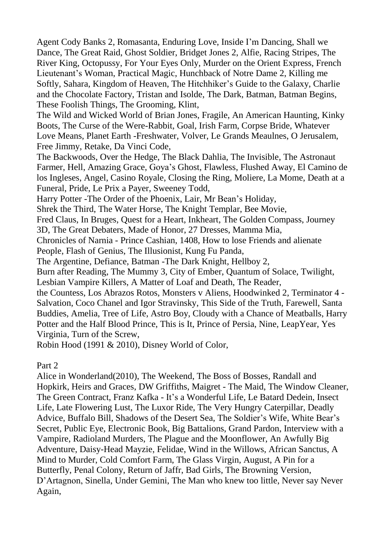Agent Cody Banks 2, Romasanta, Enduring Love, Inside I'm Dancing, Shall we Dance, The Great Raid, Ghost Soldier, Bridget Jones 2, Alfie, Racing Stripes, The River King, Octopussy, For Your Eyes Only, Murder on the Orient Express, French Lieutenant's Woman, Practical Magic, Hunchback of Notre Dame 2, Killing me Softly, Sahara, Kingdom of Heaven, The Hitchhiker's Guide to the Galaxy, Charlie and the Chocolate Factory, Tristan and Isolde, The Dark, Batman, Batman Begins, These Foolish Things, The Grooming, Klint,

The Wild and Wicked World of Brian Jones, Fragile, An American Haunting, Kinky Boots, The Curse of the Were-Rabbit, Goal, Irish Farm, Corpse Bride, Whatever Love Means, Planet Earth -Freshwater, Volver, Le Grands Meaulnes, O Jerusalem, Free Jimmy, Retake, Da Vinci Code,

The Backwoods, Over the Hedge, The Black Dahlia, The Invisible, The Astronaut Farmer, Hell, Amazing Grace, Goya's Ghost, Flawless, Flushed Away, El Camino de los Ingleses, Angel, Casino Royale, Closing the Ring, Moliere, La Mome, Death at a Funeral, Pride, Le Prix a Payer, Sweeney Todd,

Harry Potter -The Order of the Phoenix, Lair, Mr Bean's Holiday,

Shrek the Third, The Water Horse, The Knight Templar, Bee Movie,

Fred Claus, In Bruges, Quest for a Heart, Inkheart, The Golden Compass, Journey 3D, The Great Debaters, Made of Honor, 27 Dresses, Mamma Mia,

Chronicles of Narnia - Prince Cashian, 1408, How to lose Friends and alienate People, Flash of Genius, The Illusionist, Kung Fu Panda,

The Argentine, Defiance, Batman -The Dark Knight, Hellboy 2,

Burn after Reading, The Mummy 3, City of Ember, Quantum of Solace, Twilight, Lesbian Vampire Killers, A Matter of Loaf and Death, The Reader,

the Countess, Los Abrazos Rotos, Monsters v Aliens, Hoodwinked 2, Terminator 4 - Salvation, Coco Chanel and Igor Stravinsky, This Side of the Truth, Farewell, Santa Buddies, Amelia, Tree of Life, Astro Boy, Cloudy with a Chance of Meatballs, Harry Potter and the Half Blood Prince, This is It, Prince of Persia, Nine, LeapYear, Yes Virginia, Turn of the Screw,

Robin Hood (1991 & 2010), Disney World of Color,

Part 2

Alice in Wonderland(2010), The Weekend, The Boss of Bosses, Randall and Hopkirk, Heirs and Graces, DW Griffiths, Maigret - The Maid, The Window Cleaner, The Green Contract, Franz Kafka - It's a Wonderful Life, Le Batard Dedein, Insect Life, Late Flowering Lust, The Luxor Ride, The Very Hungry Caterpillar, Deadly Advice, Buffalo Bill, Shadows of the Desert Sea, The Soldier's Wife, White Bear's Secret, Public Eye, Electronic Book, Big Battalions, Grand Pardon, Interview with a Vampire, Radioland Murders, The Plague and the Moonflower, An Awfully Big Adventure, Daisy-Head Mayzie, Felidae, Wind in the Willows, African Sanctus, A Mind to Murder, Cold Comfort Farm, The Glass Virgin, August, A Pin for a Butterfly, Penal Colony, Return of Jaffr, Bad Girls, The Browning Version, D'Artagnon, Sinella, Under Gemini, The Man who knew too little, Never say Never Again,